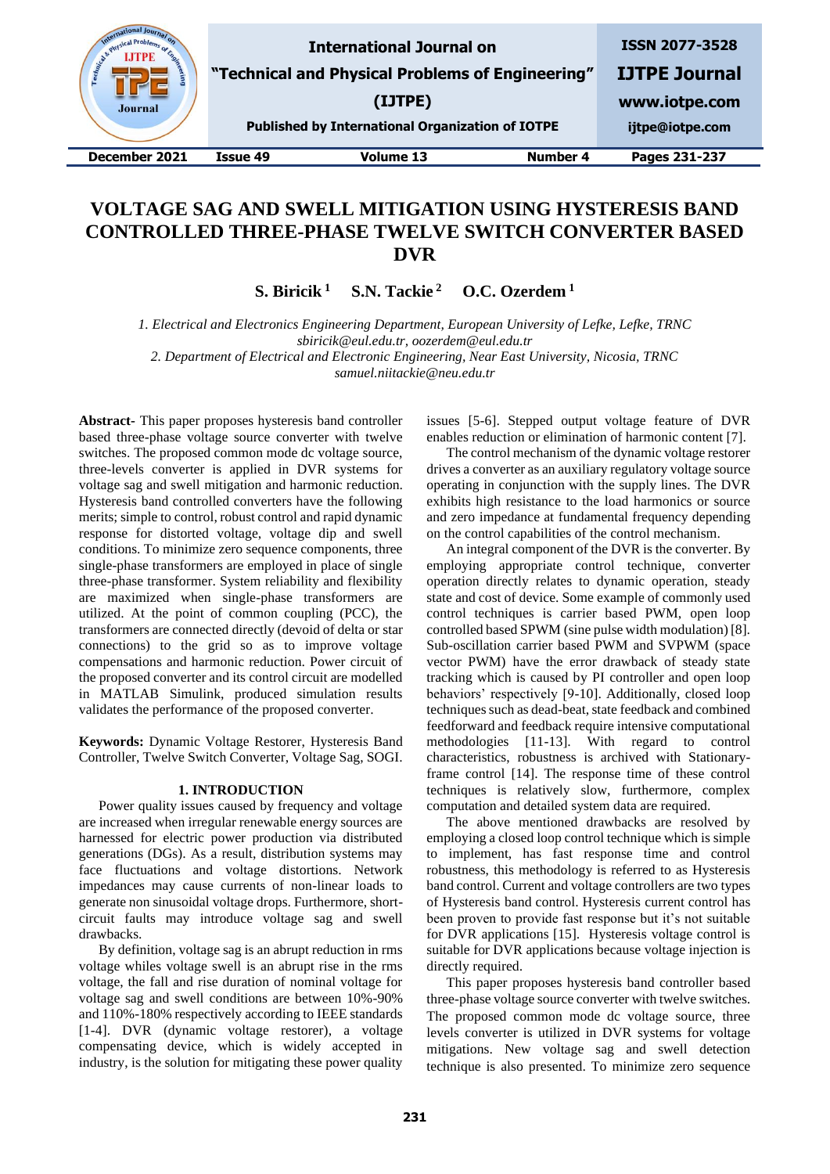nal Journal<br>Proble<sub>me</sub> sical Probl **ISSN 2077-3528 International Journal on LITPE "Technical and Physical Problems of Engineering" IJTPE Journal (IJTPE) www.iotpe.com** Journal **Published by International Organization of IOTPE ijtpe@iotpe.com December 2021 Issue 49 Volume 13 Number 4 Pages 231-237**

# **VOLTAGE SAG AND SWELL MITIGATION USING HYSTERESIS BAND CONTROLLED THREE-PHASE TWELVE SWITCH CONVERTER BASED DVR**

**S. Biricik**<sup>1</sup> **S.N. Tackie**<sup>2</sup> **O.C. Ozerdem**<sup>1</sup>

*1. Electrical and Electronics Engineering Department, European University of Lefke, Lefke, TRNC sbiricik@eul.edu.tr, oozerdem@eul.edu.tr*

*2. Department of Electrical and Electronic Engineering, Near East University, Nicosia, TRNC samuel.niitackie@neu.edu.tr*

**Abstract-** This paper proposes hysteresis band controller based three-phase voltage source converter with twelve switches. The proposed common mode dc voltage source, three-levels converter is applied in DVR systems for voltage sag and swell mitigation and harmonic reduction. Hysteresis band controlled converters have the following merits; simple to control, robust control and rapid dynamic response for distorted voltage, voltage dip and swell conditions. To minimize zero sequence components, three single-phase transformers are employed in place of single three-phase transformer. System reliability and flexibility are maximized when single-phase transformers are utilized. At the point of common coupling (PCC), the transformers are connected directly (devoid of delta or star connections) to the grid so as to improve voltage compensations and harmonic reduction. Power circuit of the proposed converter and its control circuit are modelled in MATLAB Simulink, produced simulation results validates the performance of the proposed converter.

**Keywords:** Dynamic Voltage Restorer, Hysteresis Band Controller, Twelve Switch Converter, Voltage Sag, SOGI.

## **1. INTRODUCTION**

Power quality issues caused by frequency and voltage are increased when irregular renewable energy sources are harnessed for electric power production via distributed generations (DGs). As a result, distribution systems may face fluctuations and voltage distortions. Network impedances may cause currents of non-linear loads to generate non sinusoidal voltage drops. Furthermore, shortcircuit faults may introduce voltage sag and swell drawbacks.

By definition, voltage sag is an abrupt reduction in rms voltage whiles voltage swell is an abrupt rise in the rms voltage, the fall and rise duration of nominal voltage for voltage sag and swell conditions are between 10%-90% and 110%-180% respectively according to IEEE standards [1-4]. DVR (dynamic voltage restorer), a voltage compensating device, which is widely accepted in industry, is the solution for mitigating these power quality issues [5-6]. Stepped output voltage feature of DVR enables reduction or elimination of harmonic content [7].

The control mechanism of the dynamic voltage restorer drives a converter as an auxiliary regulatory voltage source operating in conjunction with the supply lines. The DVR exhibits high resistance to the load harmonics or source and zero impedance at fundamental frequency depending on the control capabilities of the control mechanism.

An integral component of the DVR is the converter. By employing appropriate control technique, converter operation directly relates to dynamic operation, steady state and cost of device. Some example of commonly used control techniques is carrier based PWM, open loop controlled based SPWM (sine pulse width modulation) [8]. Sub-oscillation carrier based PWM and SVPWM (space vector PWM) have the error drawback of steady state tracking which is caused by PI controller and open loop behaviors' respectively [9-10]. Additionally, closed loop techniques such as dead-beat, state feedback and combined feedforward and feedback require intensive computational methodologies [11-13]. With regard to control characteristics, robustness is archived with Stationaryframe control [14]. The response time of these control techniques is relatively slow, furthermore, complex computation and detailed system data are required.

The above mentioned drawbacks are resolved by employing a closed loop control technique which is simple to implement, has fast response time and control robustness, this methodology is referred to as Hysteresis band control. Current and voltage controllers are two types of Hysteresis band control. Hysteresis current control has been proven to provide fast response but it's not suitable for DVR applications [15]. Hysteresis voltage control is suitable for DVR applications because voltage injection is directly required.

This paper proposes hysteresis band controller based three-phase voltage source converter with twelve switches. The proposed common mode dc voltage source, three levels converter is utilized in DVR systems for voltage mitigations. New voltage sag and swell detection technique is also presented. To minimize zero sequence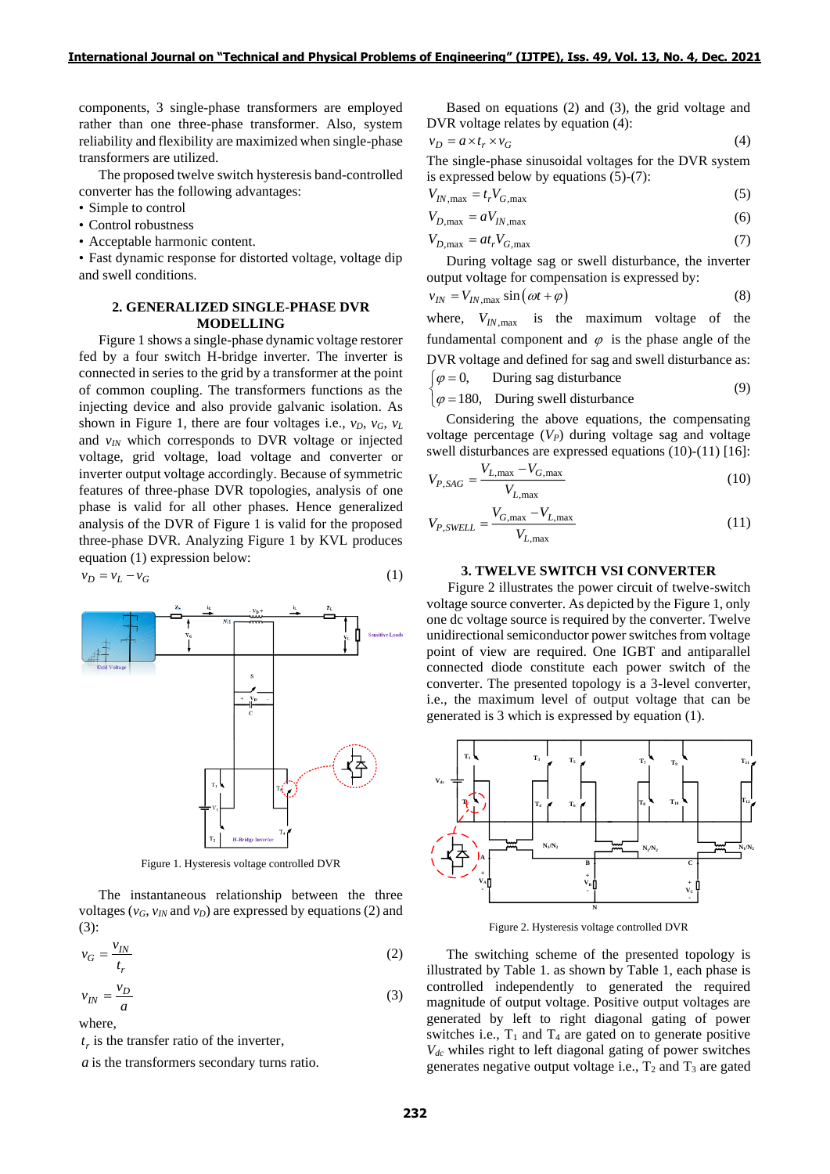components, 3 single-phase transformers are employed rather than one three-phase transformer. Also, system reliability and flexibility are maximized when single-phase transformers are utilized.

The proposed twelve switch hysteresis band-controlled converter has the following advantages:

- Simple to control
- Control robustness
- Acceptable harmonic content.

• Fast dynamic response for distorted voltage, voltage dip and swell conditions.

# **2. GENERALIZED SINGLE-PHASE DVR MODELLING**

Figure 1 shows a single-phase dynamic voltage restorer fed by a four switch H-bridge inverter. The inverter is connected in series to the grid by a transformer at the point of common coupling. The transformers functions as the injecting device and also provide galvanic isolation. As shown in Figure 1, there are four voltages i.e.,  $v_D$ ,  $v_G$ ,  $v_L$ and  $v_{IN}$  which corresponds to DVR voltage or injected voltage, grid voltage, load voltage and converter or inverter output voltage accordingly. Because of symmetric features of three-phase DVR topologies, analysis of one phase is valid for all other phases. Hence generalized analysis of the DVR of Figure 1 is valid for the proposed three-phase DVR. Analyzing Figure 1 by KVL produces equation (1) expression below:

$$
v_D = v_L - v_G \tag{1}
$$



Figure 1. Hysteresis voltage controlled DVR

The instantaneous relationship between the three voltages ( $v_G$ ,  $v_N$  and  $v_D$ ) are expressed by equations (2) and (3):

$$
v_G = \frac{v_{IN}}{t_r} \tag{2}
$$

$$
v_{IN} = \frac{v_D}{a} \tag{3}
$$

where,

 $t_r$  is the transfer ratio of the inverter,

*a* is the transformers secondary turns ratio.

Based on equations (2) and (3), the grid voltage and DVR voltage relates by equation (4):

$$
v_D = a \times t_r \times v_G \tag{4}
$$

The single-phase sinusoidal voltages for the DVR system is expressed below by equations (5)-(7):

$$
V_{IN,\text{max}} = t_r V_{G,\text{max}} \tag{5}
$$

$$
V_{D,\text{max}} = aV_{IN,\text{max}}\tag{6}
$$

$$
V_{D,\text{max}} = at_r V_{G,\text{max}} \tag{7}
$$

During voltage sag or swell disturbance, the inverter output voltage for compensation is expressed by:

$$
v_{IN} = V_{IN, \text{max}} \sin(\omega t + \varphi) \tag{8}
$$

where,  $V_{IN, \text{max}}$  is the maximum voltage of the fundamental component and  $\varphi$  is the phase angle of the DVR voltage and defined for sag and swell disturbance as: During sag disturbance  $\lceil \varphi =$ 

 $\phi = 180$ , During swell disturbance  $\phi =$ (9)

Considering the above equations, the compensating voltage percentage (*VP*) during voltage sag and voltage swell disturbances are expressed equations (10)-(11) [16]:

$$
V_{P, SAG} = \frac{V_{L, \text{max}} - V_{G, \text{max}}}{V_{L, \text{max}}} \tag{10}
$$

$$
V_{P,SWELL} = \frac{V_{G,\text{max}} - V_{L,\text{max}}}{V_{L,\text{max}}} \tag{11}
$$

#### **3. TWELVE SWITCH VSI CONVERTER**

 Figure 2 illustrates the power circuit of twelve-switch voltage source converter. As depicted by the Figure 1, only one dc voltage source is required by the converter. Twelve unidirectional semiconductor power switches from voltage point of view are required. One IGBT and antiparallel connected diode constitute each power switch of the converter. The presented topology is a 3-level converter, i.e., the maximum level of output voltage that can be generated is 3 which is expressed by equation (1).



Figure 2. Hysteresis voltage controlled DVR

The switching scheme of the presented topology is illustrated by Table 1. as shown by Table 1, each phase is controlled independently to generated the required magnitude of output voltage. Positive output voltages are generated by left to right diagonal gating of power switches i.e.,  $T_1$  and  $T_4$  are gated on to generate positive *Vdc* whiles right to left diagonal gating of power switches generates negative output voltage i.e.,  $T_2$  and  $T_3$  are gated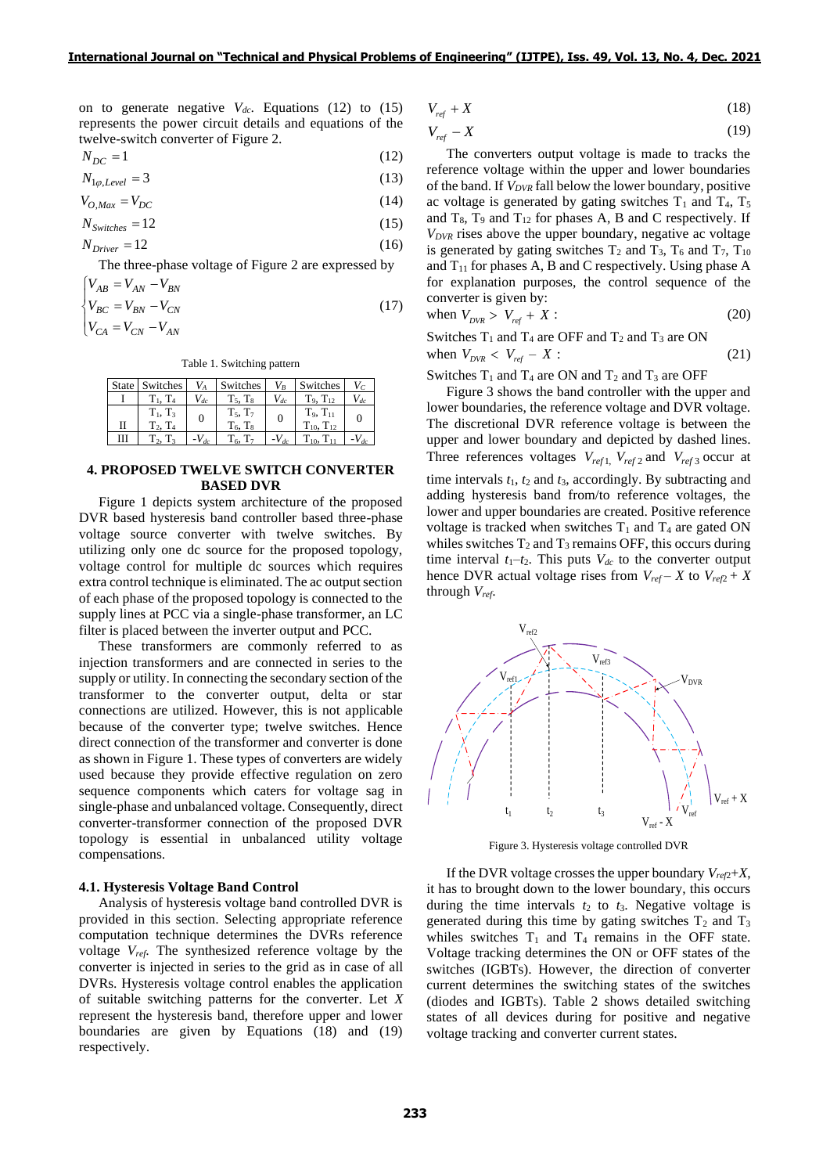on to generate negative  $V_{dc}$ . Equations (12) to (15) represents the power circuit details and equations of the twelve-switch converter of Figure 2.

$$
N_{DC} = 1\tag{12}
$$

$$
N_{1\varphi, Level} = 3\tag{13}
$$

$$
V_{O,Max} = V_{DC} \tag{14}
$$

$$
N_{\text{Switches}} = 12\tag{15}
$$

$$
N_{\text{Driver}} = 12\tag{16}
$$

The three-phase voltage of Figure 2 are expressed by

$$
\begin{cases}\nV_{AB} = V_{AN} - V_{BN} \\
V_{BC} = V_{BN} - V_{CN}\n\end{cases}
$$
\n(17)

$$
\begin{bmatrix} 1 & 1 \\ V_{CA} & -V_{CN} & -V_{AN} \end{bmatrix}
$$

Table 1. Switching pattern

|   | State   Switches            | $V_A$     | Switches                       | $V_R$     | Switches                             |           |
|---|-----------------------------|-----------|--------------------------------|-----------|--------------------------------------|-----------|
|   | $T_1, T_4$                  | $V_{dc}$  | $T_5$ , $T_8$                  | $V_{dc}$  | $T_9, T_{12}$                        | $V_{dc}$  |
| П | $T_1, T_3$<br>$T_2$ , $T_4$ | $\theta$  | $T_5$ , $T_7$<br>$T_6$ , $T_8$ | $\theta$  | $T_9, T_{11}$<br>$T_{10}$ , $T_{12}$ |           |
| Ш | $T_2$ , $T_3$               | $-V_{dc}$ | $T_6$ , $T_7$                  | $-V_{dc}$ | $T_{10}$ , $T_{11}$                  | $-V_{dc}$ |

# **4. PROPOSED TWELVE SWITCH CONVERTER BASED DVR**

Figure 1 depicts system architecture of the proposed DVR based hysteresis band controller based three-phase voltage source converter with twelve switches. By utilizing only one dc source for the proposed topology, voltage control for multiple dc sources which requires extra control technique is eliminated. The ac output section of each phase of the proposed topology is connected to the supply lines at PCC via a single-phase transformer, an LC filter is placed between the inverter output and PCC.

These transformers are commonly referred to as injection transformers and are connected in series to the supply or utility. In connecting the secondary section of the transformer to the converter output, delta or star connections are utilized. However, this is not applicable because of the converter type; twelve switches. Hence direct connection of the transformer and converter is done as shown in Figure 1. These types of converters are widely used because they provide effective regulation on zero sequence components which caters for voltage sag in single-phase and unbalanced voltage. Consequently, direct converter-transformer connection of the proposed DVR topology is essential in unbalanced utility voltage compensations.

#### **4.1. Hysteresis Voltage Band Control**

Analysis of hysteresis voltage band controlled DVR is provided in this section. Selecting appropriate reference computation technique determines the DVRs reference voltage *Vref*. The synthesized reference voltage by the converter is injected in series to the grid as in case of all DVRs. Hysteresis voltage control enables the application of suitable switching patterns for the converter. Let *X* represent the hysteresis band, therefore upper and lower boundaries are given by Equations (18) and (19) respectively.

$$
V_{ref} + X \tag{18}
$$

$$
V_{ref} - X \tag{19}
$$

The converters output voltage is made to tracks the reference voltage within the upper and lower boundaries of the band. If *VDVR* fall below the lower boundary, positive ac voltage is generated by gating switches  $T_1$  and  $T_4$ ,  $T_5$ and  $T_8$ ,  $T_9$  and  $T_{12}$  for phases A, B and C respectively. If *VDVR* rises above the upper boundary, negative ac voltage is generated by gating switches  $T_2$  and  $T_3$ ,  $T_6$  and  $T_7$ ,  $T_{10}$ and  $T_{11}$  for phases A, B and C respectively. Using phase A for explanation purposes, the control sequence of the converter is given by:

when 
$$
V_{DVR} > V_{ref} + X:
$$
 (20)

Switches  $T_1$  and  $T_4$  are OFF and  $T_2$  and  $T_3$  are ON when  $V_{DVR} < V_{ref} - X$  $(21)$ 

Switches  $T_1$  and  $T_4$  are ON and  $T_2$  and  $T_3$  are OFF

Figure 3 shows the band controller with the upper and lower boundaries, the reference voltage and DVR voltage. The discretional DVR reference voltage is between the upper and lower boundary and depicted by dashed lines. Three references voltages  $V_{ref1}$ ,  $V_{ref2}$  and  $V_{ref3}$  occur at time intervals  $t_1$ ,  $t_2$  and  $t_3$ , accordingly. By subtracting and adding hysteresis band from/to reference voltages, the lower and upper boundaries are created. Positive reference voltage is tracked when switches  $T_1$  and  $T_4$  are gated ON whiles switches  $T_2$  and  $T_3$  remains OFF, this occurs during time interval  $t_1-t_2$ . This puts  $V_{dc}$  to the converter output hence DVR actual voltage rises from  $V_{ref} - X$  to  $V_{ref2} + X$ through *Vref*.



Figure 3. Hysteresis voltage controlled DVR

If the DVR voltage crosses the upper boundary  $V_{ref2}+X$ , it has to brought down to the lower boundary, this occurs during the time intervals  $t_2$  to  $t_3$ . Negative voltage is generated during this time by gating switches  $T_2$  and  $T_3$ whiles switches  $T_1$  and  $T_4$  remains in the OFF state. Voltage tracking determines the ON or OFF states of the switches (IGBTs). However, the direction of converter current determines the switching states of the switches (diodes and IGBTs). Table 2 shows detailed switching states of all devices during for positive and negative voltage tracking and converter current states.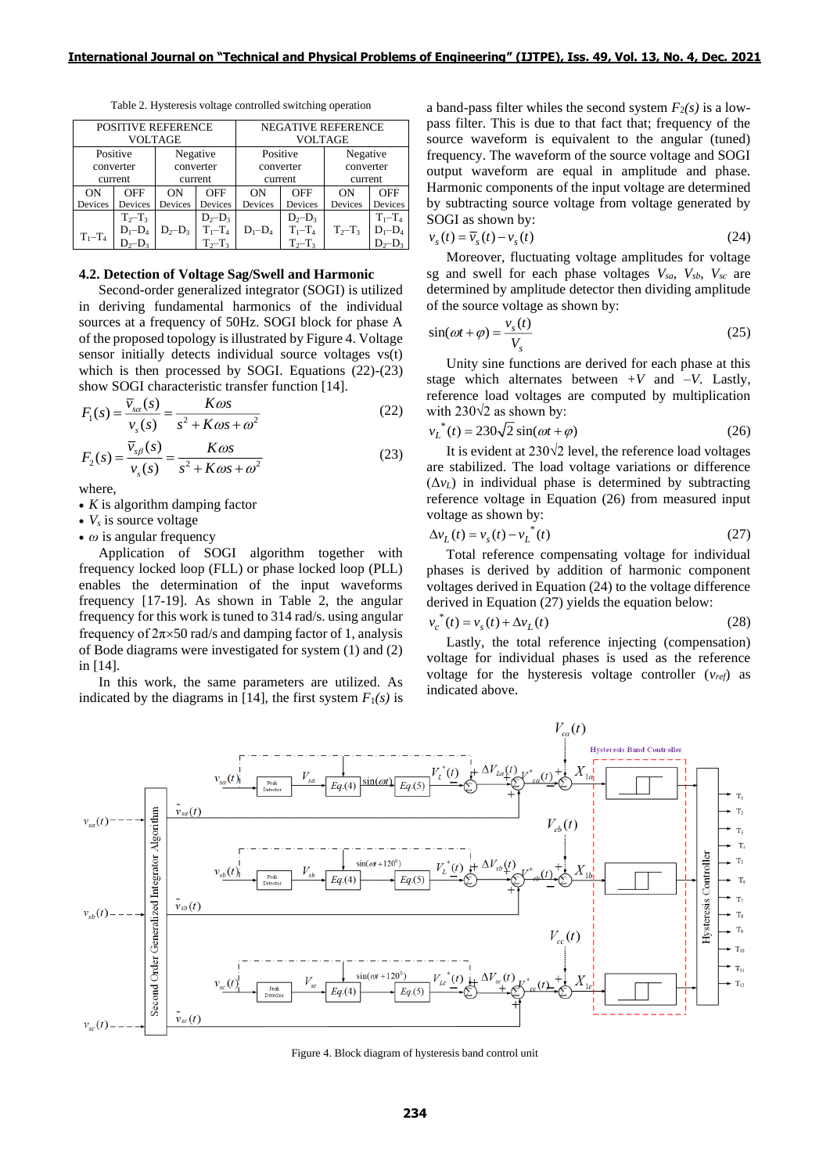| <b>POSITIVE REFERENCE</b> |                |           |               | NEGATIVE REFERENCE |               |             |             |
|---------------------------|----------------|-----------|---------------|--------------------|---------------|-------------|-------------|
|                           | <b>VOLTAGE</b> |           |               | <b>VOLTAGE</b>     |               |             |             |
| Positive                  |                | Negative  |               | Positive           |               | Negative    |             |
| converter                 |                | converter |               | converter          |               | converter   |             |
| current                   |                | current   |               | current            |               | current     |             |
| ON                        | <b>OFF</b>     | ON        | OFF           | ON                 | OFF           | ON          | OFF         |
| Devices                   | Devices        | Devices   | Devices       | Devices            | Devices       | Devices     | Devices     |
|                           | $T_2 - T_3$    |           | $D_2-D_3$     |                    | $D_2-D_3$     |             | $T_1 - T_4$ |
| $T_1 - T_4$               | $D_1 - D_4$    | $D_2-D_3$ | $T_1 - T_4$   | $D_1 - D_4$        | $T_1 - T_4$   | $T_2 - T_3$ | $D_1 - D_4$ |
|                           |                |           | $T_{2}-T_{3}$ |                    | $T_{2}-T_{3}$ |             |             |

Table 2. Hysteresis voltage controlled switching operation

# **4.2. Detection of Voltage Sag/Swell and Harmonic**

Second-order generalized integrator (SOGI) is utilized in deriving fundamental harmonics of the individual sources at a frequency of 50Hz. SOGI block for phase A of the proposed topology is illustrated by Figure 4. Voltage sensor initially detects individual source voltages vs(t) which is then processed by SOGI. Equations (22)-(23) show SOGI characteristic transfer function [14].

$$
F_1(s) = \frac{\overline{v}_{sa}(s)}{v_s(s)} = \frac{K\omega s}{s^2 + K\omega s + \omega^2}
$$
(22)  

$$
F_2(s) = \frac{\overline{v}_{s\beta}(s)}{v_s(s)} = \frac{K\omega s}{s^2 + K\omega s + \omega^2}
$$
(23)

$$
F_2(s) = \frac{\overline{v}_{s\beta}(s)}{v_s(s)} = \frac{K\omega s}{s^2 + K\omega s + \omega^2}
$$
\n(23)

where,

- *K* is algorithm damping factor
- *V<sup>s</sup>* is source voltage
- *ω* is angular frequency

Application of SOGI algorithm together with frequency locked loop (FLL) or phase locked loop (PLL) enables the determination of the input waveforms frequency [17-19]. As shown in Table 2, the angular frequency for this work is tuned to 314 rad/s. using angular frequency of  $2\pi\times50$  rad/s and damping factor of 1, analysis of Bode diagrams were investigated for system (1) and (2) in [14].

In this work, the same parameters are utilized. As indicated by the diagrams in [14], the first system  $F_1(s)$  is a band-pass filter whiles the second system  $F_2(s)$  is a lowpass filter. This is due to that fact that; frequency of the source waveform is equivalent to the angular (tuned) frequency. The waveform of the source voltage and SOGI output waveform are equal in amplitude and phase. Harmonic components of the input voltage are determined by subtracting source voltage from voltage generated by SOGI as shown by:

$$
v_s(t) = \overline{v}_s(t) - v_s(t)
$$
\n(24)

Moreover, fluctuating voltage amplitudes for voltage sg and swell for each phase voltages  $V_{sa}$ ,  $V_{sb}$ ,  $V_{sc}$  are determined by amplitude detector then dividing amplitude of the source voltage as shown by:

$$
\sin(\omega t + \varphi) = \frac{v_s(t)}{V_s} \tag{25}
$$

Unity sine functions are derived for each phase at this stage which alternates between  $+V$  and  $-V$ . Lastly, reference load voltages are computed by multiplication with 230 $\sqrt{2}$  as shown by:

$$
v_L^*(t) = 230\sqrt{2}\sin(\omega t + \varphi)
$$
 (26)

It is evident at 230√2 level, the reference load voltages are stabilized. The load voltage variations or difference  $(\Delta v_L)$  in individual phase is determined by subtracting reference voltage in Equation (26) from measured input voltage as shown by:

$$
\Delta v_L(t) = v_s(t) - v_L^{*(t)}
$$
\n(27)

Total reference compensating voltage for individual phases is derived by addition of harmonic component voltages derived in Equation (24) to the voltage difference derived in Equation (27) yields the equation below:

$$
v_c^*(t) = v_s(t) + \Delta v_L(t)
$$
\n(28)

Lastly, the total reference injecting (compensation) voltage for individual phases is used as the reference voltage for the hysteresis voltage controller (*vref*) as indicated above.



Figure 4. Block diagram of hysteresis band control unit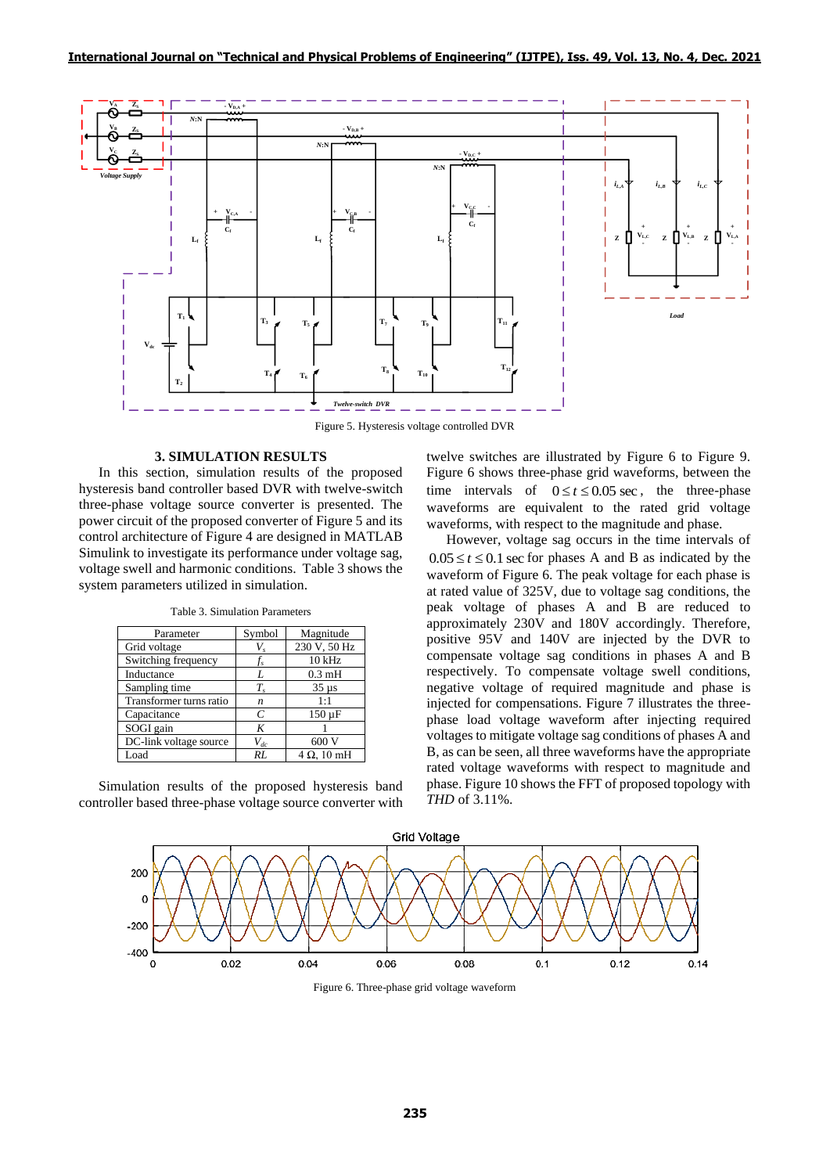

Figure 5. Hysteresis voltage controlled DVR

# **3. SIMULATION RESULTS**

In this section, simulation results of the proposed hysteresis band controller based DVR with twelve-switch three-phase voltage source converter is presented. The power circuit of the proposed converter of Figure 5 and its control architecture of Figure 4 are designed in MATLAB Simulink to investigate its performance under voltage sag, voltage swell and harmonic conditions. Table 3 shows the system parameters utilized in simulation.

| Parameter               | Symbol        | Magnitude          |  |
|-------------------------|---------------|--------------------|--|
| Grid voltage            | V,            | 230 V, 50 Hz       |  |
| Switching frequency     | t.            | $10$ kHz           |  |
| Inductance              | L             | $0.3 \text{ mH}$   |  |
| Sampling time           | $T_{s}$       | $35 \mu s$         |  |
| Transformer turns ratio | n             | 1:1                |  |
| Capacitance             | $\mathcal{C}$ | $150 \mu F$        |  |
| SOGI gain               | K             |                    |  |
| DC-link voltage source  | $V_{dc}$      | 600.               |  |
| Load                    | RL            | $4 \Omega$ , 10 mH |  |

Table 3. Simulation Parameters

Simulation results of the proposed hysteresis band controller based three-phase voltage source converter with twelve switches are illustrated by Figure 6 to Figure 9. Figure 6 shows three-phase grid waveforms, between the time intervals of  $0 \le t \le 0.05$  sec, the three-phase waveforms are equivalent to the rated grid voltage waveforms, with respect to the magnitude and phase.

However, voltage sag occurs in the time intervals of  $0.05 \le t \le 0.1$  sec for phases A and B as indicated by the waveform of Figure 6. The peak voltage for each phase is at rated value of 325V, due to voltage sag conditions, the peak voltage of phases A and B are reduced to approximately 230V and 180V accordingly. Therefore, positive 95V and 140V are injected by the DVR to compensate voltage sag conditions in phases A and B respectively. To compensate voltage swell conditions, negative voltage of required magnitude and phase is injected for compensations. Figure 7 illustrates the threephase load voltage waveform after injecting required voltages to mitigate voltage sag conditions of phases A and B, as can be seen, all three waveforms have the appropriate rated voltage waveforms with respect to magnitude and phase. Figure 10 shows the FFT of proposed topology with *THD* of 3.11%.



Figure 6. Three-phase grid voltage waveform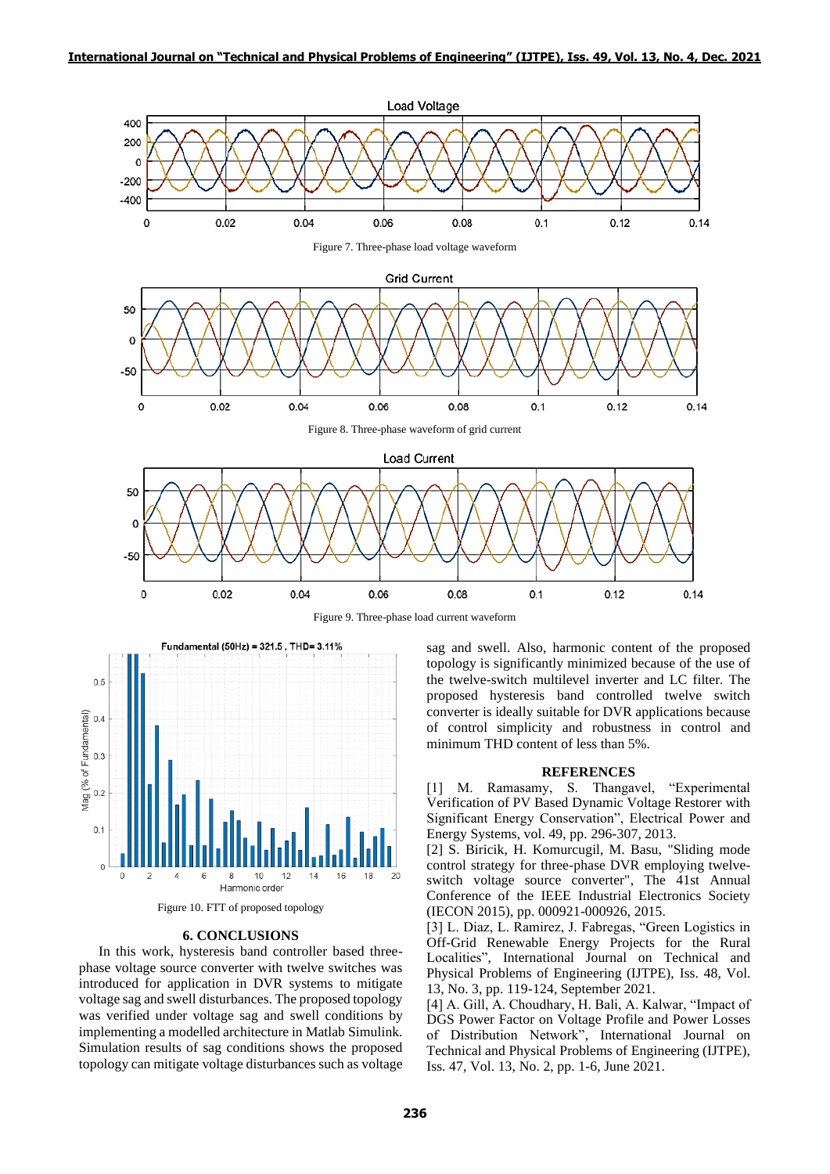

Figure 9. Three-phase load current waveform





#### **6. CONCLUSIONS**

In this work, hysteresis band controller based threephase voltage source converter with twelve switches was introduced for application in DVR systems to mitigate voltage sag and swell disturbances. The proposed topology was verified under voltage sag and swell conditions by implementing a modelled architecture in Matlab Simulink. Simulation results of sag conditions shows the proposed topology can mitigate voltage disturbances such as voltage sag and swell. Also, harmonic content of the proposed topology is significantly minimized because of the use of the twelve-switch multilevel inverter and LC filter. The proposed hysteresis band controlled twelve switch converter is ideally suitable for DVR applications because of control simplicity and robustness in control and minimum THD content of less than 5%.

## **REFERENCES**

[1] M. Ramasamy, S. Thangavel, "Experimental Verification of PV Based Dynamic Voltage Restorer with Significant Energy Conservation", Electrical Power and Energy Systems, vol. 49, pp. 296-307, 2013.

[2] S. Biricik, H. Komurcugil, M. Basu, "Sliding mode control strategy for three-phase DVR employing twelveswitch voltage source converter", The 41st Annual Conference of the IEEE Industrial Electronics Society (IECON 2015), pp. 000921-000926, 2015.

[3] L. Diaz, L. Ramirez, J. Fabregas, "Green Logistics in Off-Grid Renewable Energy Projects for the Rural Localities", International Journal on Technical and Physical Problems of Engineering (IJTPE), Iss. 48, Vol. 13, No. 3, pp. 119-124, September 2021.

[4] A. Gill, A. Choudhary, H. Bali, A. Kalwar, "Impact of DGS Power Factor on Voltage Profile and Power Losses of Distribution Network", International Journal on Technical and Physical Problems of Engineering (IJTPE), Iss. 47, Vol. 13, No. 2, pp. 1-6, June 2021.